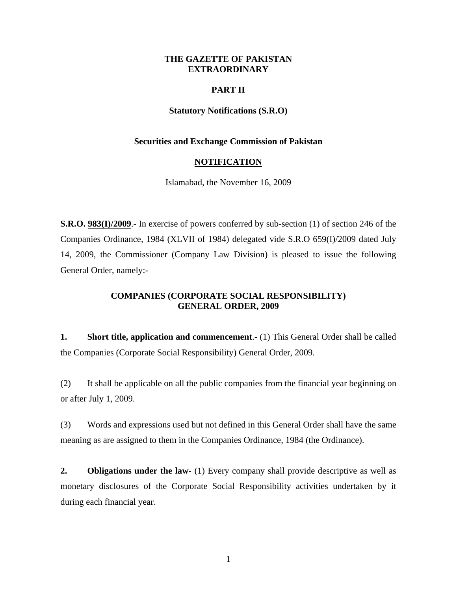## **THE GAZETTE OF PAKISTAN EXTRAORDINARY**

## **PART II**

## **Statutory Notifications (S.R.O)**

#### **Securities and Exchange Commission of Pakistan**

#### **NOTIFICATION**

Islamabad, the November 16, 2009

**S.R.O. 983(I)/2009**.- In exercise of powers conferred by sub-section (1) of section 246 of the Companies Ordinance, 1984 (XLVII of 1984) delegated vide S.R.O 659(I)/2009 dated July 14, 2009, the Commissioner (Company Law Division) is pleased to issue the following General Order, namely:-

# **COMPANIES (CORPORATE SOCIAL RESPONSIBILITY) GENERAL ORDER, 2009**

**1. Short title, application and commencement**.- (1) This General Order shall be called the Companies (Corporate Social Responsibility) General Order, 2009.

(2) It shall be applicable on all the public companies from the financial year beginning on or after July 1, 2009.

(3) Words and expressions used but not defined in this General Order shall have the same meaning as are assigned to them in the Companies Ordinance, 1984 (the Ordinance).

**2. Obligations under the law-** (1) Every company shall provide descriptive as well as monetary disclosures of the Corporate Social Responsibility activities undertaken by it during each financial year.

1